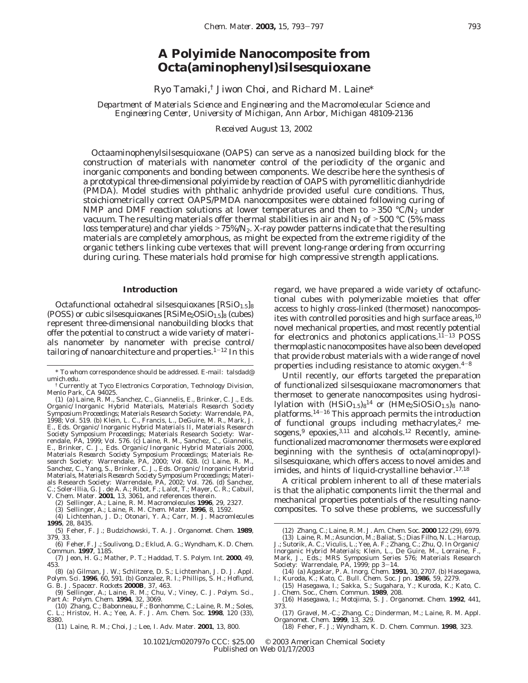## **A Polyimide Nanocomposite from Octa(aminophenyl)silsesquioxane**

Ryo Tamaki,† Jiwon Choi, and Richard M. Laine\*

*Department of Materials Science and Engineering and the Macromolecular Science and Engineering Center, University of Michigan, Ann Arbor, Michigan 48109-2136*

*Received August 13, 2002*

Octaaminophenylsilsesquioxane (OAPS) can serve as a nanosized building block for the construction of materials with nanometer control of the periodicity of the organic and inorganic components and bonding between components. We describe here the synthesis of a prototypical three-dimensional polyimide by reaction of OAPS with pyromellitic dianhydride (PMDA). Model studies with phthalic anhydride provided useful cure conditions. Thus, stoichiometrically correct OAPS/PMDA nanocomposites were obtained following curing of NMP and DMF reaction solutions at lower temperatures and then to  $>350$  °C/N<sub>2</sub> under vacuum. The resulting materials offer thermal stabilities in air and  $N_2$  of  $>500$  °C (5% mass loss temperature) and char yields  $>75\%/N_2$ . X-ray powder patterns indicate that the resulting materials are completely amorphous, as might be expected from the extreme rigidity of the organic tethers linking cube vertexes that will prevent long-range ordering from occurring during curing. These materials hold promise for high compressive strength applications.

## **Introduction**

Octafunctional octahedral silsesquioxanes  $[RSiO<sub>1.5</sub>]_8$ (POSS) or cubic silsesquioxanes  $[RSiMe<sub>2</sub>OSiO<sub>1.5</sub>]_8$  (cubes) represent three-dimensional nanobuilding blocks that offer the potential to construct a wide variety of materials nanometer by nanometer with precise control/ tailoring of nanoarchitecture and properties. $1-12$  In this regard, we have prepared a wide variety of octafunctional cubes with polymerizable moieties that offer access to highly cross-linked (thermoset) nanocomposites with controlled porosities and high surface areas,  $10$ novel mechanical properties, and most recently potential for electronics and photonics applications. $11-13$  POSS thermoplastic nanocomposites have also been developed that provide robust materials with a wide range of novel properties including resistance to atomic oxygen. $4-8$ 

Until recently, our efforts targeted the preparation of functionalized silsesquioxane macromonomers that thermoset to generate nanocomposites using hydrosilylation with  $(HSiO<sub>1.5</sub>)<sub>8</sub><sup>14</sup>$  or  $(HMe<sub>2</sub>SiOSiO<sub>1.5</sub>)<sub>8</sub>$  nanoplatforms.<sup>14-16</sup> This approach permits the introduction of functional groups including methacrylates,2 mesogens, $9$  epoxies, $3,11$  and alcohols.<sup>12</sup> Recently, aminefunctionalized macromonomer thermosets were explored beginning with the synthesis of octa(aminopropyl) silsesquioxane, which offers access to novel amides and imides, and hints of liquid-crystalline behavior.<sup>17,18</sup>

A critical problem inherent to all of these materials is that the aliphatic components limit the thermal and mechanical properties potentials of the resulting nanocomposites. To solve these problems, we successfully

 $^\ast$  To whom correspondence should be addressed. E-mail: talsdad@ umich.edu.

<sup>†</sup> Currently at Tyco Electronics Corporation, Technology Division, Menlo Park, CA 94025.

<sup>(1) (</sup>a) Laine, R. M., Sanchez, C., Giannelis, E., Brinker, C. J., Eds. *Organic/Inorganic Hybrid Materials, Materials Research Society Symposium Proceedings*; Materials Research Society: Warrendale, PA, 1998; Vol*.* 519. (b) Klein, L. C., Francis, L., DeGuire, M. R., Mark, J. E., Eds. *Organic/Inorganic Hybrid Materials II, Materials Research Society Symposium Proceedings*; Materials Research Society: Warrendale, PA, 1999; Vol. 576. (c) Laine, R. M., Sanchez, C., Giannelis, E., Brinker, C. J., Eds. *Organic/Inorganic Hybrid Materials 2000, Materials Research Society Symposium Proceedings*; Materials Re-search Society: Warrendale, PA, 2000; Vol. 628. (c) Laine, R. M., Sanchez, C., Yang, S., Brinker, C. J., Eds. *Organic/Inorganic Hybrid Materials, Materials Research Society Symposium Proceedings*; Materials Research Society: Warrendale, PA, 2002; Vol. 726. (d) Sanchez, C.; Soler-Illia, G. J. de A. A.; Ribot, F.; Lalot, T.; Mayer, C. R.; Cabuil,

V. *Chem. Mater.* **2001**, *13*, 3061, and references therein.

<sup>(2)</sup> Sellinger, A.; Laine, R. M. *Macromolecules* **1996**, *29*, 2327. (3) Sellinger, A.; Laine, R. M. *Chem. Mater*. **1996**, *8*, 1592.

<sup>(4)</sup> Lichtenhan, J. D.; Otonari, Y. A.; Carr, M. J. *Macromlecules* **1995**, *28*, 8435.

<sup>(5)</sup> Feher, F. J.; Budzichowski, T. A. *J. Organomet. Chem.* **1989**, *379*, 33.

<sup>(6)</sup> Feher, F. J.; Soulivong, D.; Eklud, A. G.; Wyndham, K. D. *Chem. Commun.* **1997**, 1185.

<sup>(7)</sup> Jeon, H. G.; Mather, P. T.; Haddad, T. S. *Polym. Int.* **2000**, *49*, 453.

<sup>(8) (</sup>a) Gilman, J. W.; Schlitzere, D. S.; Lichtenhan, J. D. *J. Appl. Polym. Sci*. **1996**, *60*, 591. (b) Gonzalez, R. I.; Phillips, S. H.; Hoflund, G. B. *J. Spacecr. Rockets* **2000B**, *37*, 463.

<sup>(9)</sup> Sellinger, A.; Laine, R. M.; Chu, V.; Viney, C. *J. Polym. Sci., Part A: Polym. Chem.* **1994**, *32*, 3069.

<sup>(10)</sup> Zhang, C.; Babonneau, F.; Bonhomme, C.; Laine, R. M.; Soles, C. L.; Hristov, H. A.; Yee, A. F. *J. Am. Chem. Soc.* **1998**, *120* (33), 8380.

<sup>(11)</sup> Laine, R. M.; Choi, J.; Lee, I. *Adv. Mater.* **2001**, *13*, 800.

<sup>(12)</sup> Zhang, C.; Laine, R. M. *J. Am. Chem. Soc.* **2000** *122* (29), 6979. (13) Laine, R. M.; Asuncion, M.; Baliat, S.; Dias Filho, N. L.; Harcup,

J.; Sutorik, A. C.; Viculis, L.; Yee, A. F.; Zhang, C.; Zhu, Q. In *Organic/ Inorganic Hybrid Materials*; Klein, L., De Guire, M., Lorraine, F., Mark, J., Eds.; MRS Symposium Series 576; Materials Research

Society: Warrendale, PA, 1999; pp 3-14. (14) (a) Agaskar, P. A. *Inorg. Chem.* **1991**, *30*, 2707. (b) Hasegawa, I.; Kuroda, K.; Kato, C. *Bull. Chem. Soc. Jpn.* **1986**, *59*, 2279.

<sup>(15)</sup> Hasegawa, I.; Sakka, S.; Sugahara, Y.; Kuroda, K.; Kato, C.

*J. Chem. Soc., Chem. Commun.* **1989**, 208. (16) Hasegawa, I.; Motojima, S. *J. Organomet. Chem.* **1992**, *441*, 373.

<sup>(17)</sup> Gravel, M.-C.; Zhang, C.; Dinderman, M.; Laine, R. M. *Appl. Organomet. Chem.* **1999**, *13*, 329.

<sup>(18)</sup> Feher, F. J.; Wyndham, K. D. *Chem. Commun.* **1998**, 323.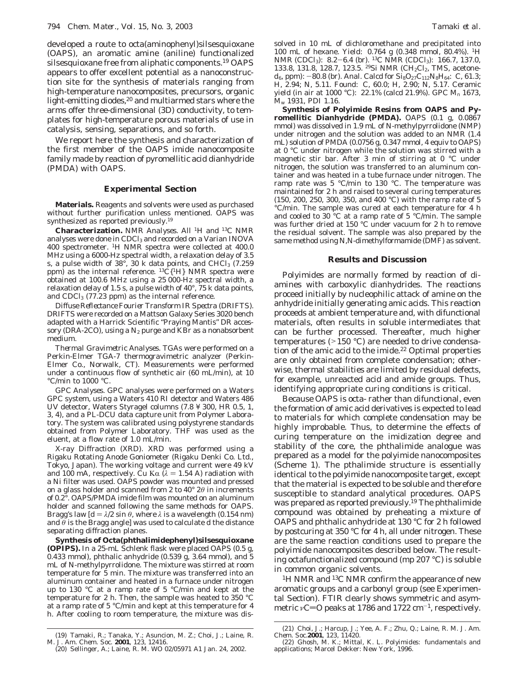developed a route to octa(aminophenyl)silsesquioxane (OAPS), an aromatic amine (aniline) functionalized silsesquioxane free from aliphatic components.19 OAPS appears to offer excellent potential as a nanoconstruction site for the synthesis of materials ranging from high-temperature nanocomposites, precursors, organic light-emitting diodes,<sup>20</sup> and multiarmed stars where the arms offer three-dimensional (3D) conductivity, to templates for high-temperature porous materials of use in catalysis, sensing, separations, and so forth.

We report here the synthesis and characterization of the first member of the OAPS imide nanocomposite family made by reaction of pyromellitic acid dianhydride (PMDA) with OAPS.

## **Experimental Section**

**Materials.** Reagents and solvents were used as purchased without further purification unless mentioned. OAPS was synthesized as reported previously.19

**Characterization.** *NMR Analyses.* All 1H and 13C NMR analyses were done in CDCl<sub>3</sub> and recorded on a Varian INOVA 400 spectrometer. 1H NMR spectra were collected at 400.0 MHz using a 6000-Hz spectral width, a relaxation delay of 3.5 s, a pulse width of 38°, 30 k data points, and CHCl $_{3}$  (7.259  $\,$ ppm) as the internal reference.  ${}^{13}C[{^1}H]$  NMR spectra were obtained at 100.6 MHz using a 25 000-Hz spectral width, a relaxation delay of 1.5 s, a pulse width of 40°, 75 k data points, and  $CDCl<sub>3</sub>$  (77.23 ppm) as the internal reference.

*Diffuse Reflectance Fourier Transform IR Spectra (DRIFTS).* DRIFTS were recorded on a Mattson Galaxy Series 3020 bench adapted with a Harrick Scientific "Praying Mantis" DR accessory (DRA-2CO), using a  $N_2$  purge and KBr as a nonabsorbent medium.

*Thermal Gravimetric Analyses.* TGAs were performed on a Perkin-Elmer TGA-7 thermogravimetric analyzer (Perkin-Elmer Co., Norwalk, CT). Measurements were performed under a continuous flow of synthetic air (60 mL/min), at 10 °C/min to 1000 °C.

*GPC Analyses*. GPC analyses were performed on a Waters GPC system, using a Waters 410 RI detector and Waters 486 UV detector, Waters Styragel columns (7.8 ¥ 300, HR 0.5, 1, 3, 4), and a PL-DCU data capture unit from Polymer Laboratory. The system was calibrated using polystyrene standards obtained from Polymer Laboratory. THF was used as the eluent, at a flow rate of 1.0 mL/min.

*X-ray Diffraction (XRD)*. XRD was performed using a Rigaku Rotating Anode Goniometer (Rigaku Denki Co. Ltd., Tokyo, Japan). The working voltage and current were 49 kV and 100 mA, respectively. Cu K $\alpha$  ( $\lambda$  = 1.54 A) radiation with a Ni filter was used. OAPS powder was mounted and pressed on a glass holder and scanned from 2 to 40° 2*θ* in increments of 0.2°. OAPS/PMDA imide film was mounted on an aluminum holder and scanned following the same methods for OAPS. Bragg's law  $d = \lambda/2 \sin \theta$ , where  $\lambda$  is a wavelength (0.154 nm) and *θ* is the Bragg angle] was used to calculate d the distance separating diffraction planes.

**Synthesis of Octa(phthalimidephenyl)silsesquioxane (OPIPS).** In a 25-mL Schlenk flask were placed OAPS (0.5 g, 0.433 mmol), phthalic anhydride (0.539 g, 3.64 mmol), and 5 mL of *N*-methylpyrrolidone. The mixture was stirred at room temperature for 5 min. The mixture was transferred into an aluminum container and heated in a furnace under nitrogen up to 130 °C at a ramp rate of 5 °C/min and kept at the temperature for 2 h. Then, the sample was heated to 350 °C at a ramp rate of 5 °C/min and kept at this temperature for 4 h. After cooling to room temperature, the mixture was dissolved in 10 mL of dichloromethane and precipitated into 100 mL of hexane. Yield: 0.764 g (0.348 mmol, 80.4%). 1H NMR (CDCl<sub>3</sub>): 8.2-6.4 (br). <sup>13</sup>C NMR (CDCl<sub>3</sub>): 166.7, 137.0, 133.8, 131.8, 128.7, 123.5. <sup>29</sup>Si NMR (CH<sub>2</sub>Cl<sub>2</sub>, TMS, acetone $d_6$ , ppm): -80.8 (br). Anal. Calcd for  $Si_8O_{27}C_{112}N_8H_{64}$ : C, 61.3; H, 2.94; N, 5.11. Found: C, 60.0; H, 2.90; N, 5.17. Ceramic yield (in air at 1000 °C): 22.1% (calcd 21.9%). GPC *M*<sup>n</sup> 1673, *M*<sup>w</sup> 1931, PDI 1.16.

**Synthesis of Polyimide Resins from OAPS and Pyromellitic Dianhydride (PMDA).** OAPS (0.1 g, 0.0867 mmol) was dissolved in 1.9 mL of *N*-methylpyrrolidone (NMP) under nitrogen and the solution was added to an NMR (1.4 mL) solution of PMDA (0.0756 g, 0.347 mmol, 4 equiv to OAPS) at 0 °C under nitrogen while the solution was stirred with a magnetic stir bar. After 3 min of stirring at 0 °C under nitrogen, the solution was transferred to an aluminum container and was heated in a tube furnace under nitrogen. The ramp rate was 5 °C/min to 130 °C. The temperature was maintained for 2 h and raised to several curing temperatures (150, 200, 250, 300, 350, and 400 °C) with the ramp rate of 5 °C/min. The sample was cured at each temperature for 4 h and cooled to 30 °C at a ramp rate of 5 °C/min. The sample was further dried at 150 °C under vacuum for 2 h to remove the residual solvent. The sample was also prepared by the same method using *N,N*-dimethylformamide (DMF) as solvent.

## **Results and Discussion**

Polyimides are normally formed by reaction of diamines with carboxylic dianhydrides. The reactions proceed initially by nucleophilic attack of amine on the anhydride initially generating amic acids. This reaction proceeds at ambient temperature and, with difunctional materials, often results in soluble intermediates that can be further processed. Thereafter, much higher temperatures (>150 °C) are needed to drive condensation of the amic acid to the imide.<sup>22</sup> Optimal properties are only obtained from complete condensation; otherwise, thermal stabilities are limited by residual defects, for example, unreacted acid and amide groups. Thus, identifying appropriate curing conditions is critical.

Because OAPS is octa- rather than difunctional, even the formation of amic acid derivatives is expected to lead to materials for which complete condensation may be highly improbable. Thus, to determine the effects of curing temperature on the imidization degree and stability of the core, the phthalimide analogue was prepared as a model for the polyimide nanocomposites (Scheme 1). The pthalimide structure is essentially identical to the polyimide nanocomposite target, except that the material is expected to be soluble and therefore susceptible to standard analytical procedures. OAPS was prepared as reported previously.19 The phthalimide compound was obtained by preheating a mixture of OAPS and phthalic anhydride at 130 °C for 2 h followed by postcuring at 350 °C for 4 h, all under nitrogen. These are the same reaction conditions used to prepare the polyimide nanocomposites described below. The resulting octafunctionalized compound (mp 207 °C) is soluble in common organic solvents.

<sup>1</sup>H NMR and <sup>13</sup>C NMR confirm the appearance of new aromatic groups and a carbonyl group (see Experimental Section). FTIR clearly shows symmetric and asymmetric *ν*C=O peaks at 1786 and 1722 cm<sup>-1</sup>, respectively.

<sup>(19)</sup> Tamaki, R.; Tanaka, Y.; Asuncion, M. Z.; Choi, J.; Laine, R. M*. J. Am. Chem. Soc.* **2001**, *123*, 12416.

<sup>(20)</sup> Sellinger, A.; Laine, R. M. WO 02/05971 A1 Jan. 24, 2002.

<sup>(21)</sup> Choi, J.; Harcup, J.; Yee, A. F.; Zhu, Q.; Laine, R. M. *J. Am. Chem. Soc.***2001**, *123*, 11420.

<sup>(22)</sup> Ghosh, M. K.; Mittal, K. L. *Polyimides: fundamentals and applications*; Marcel Dekker: New York, 1996.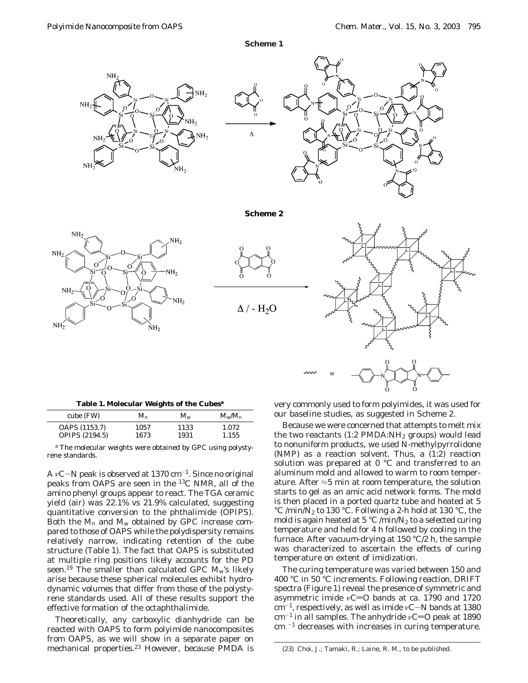**Scheme 1**





**Scheme 2**







|  |  |  |  |  | Table 1. Molecular Weights of the Cubes <sup>a</sup> |  |  |  |  |
|--|--|--|--|--|------------------------------------------------------|--|--|--|--|
|--|--|--|--|--|------------------------------------------------------|--|--|--|--|

| cube (FW)                              | $M_{\mathsf{n}}$ | $M_{\rm w}$  | $M_{\rm w}/M_{\rm n}$ |
|----------------------------------------|------------------|--------------|-----------------------|
| OAPS (1153.7)<br><b>OPIPS (2194.5)</b> | 1057<br>1673     | 1133<br>1931 | 1.072<br>1.155        |

*<sup>a</sup>* The molecular weights were obtained by GPC using polystyrene standards.

<sup>A</sup> *<sup>ν</sup>*C-N peak is observed at 1370 cm-1. Since no original peaks from OAPS are seen in the 13C NMR, all of the amino phenyl groups appear to react. The TGA ceramic yield (air) was 22.1% vs 21.9% calculated, suggesting quantitative conversion to the phthalimide (OPIPS). Both the *M*<sup>n</sup> and *M*<sup>w</sup> obtained by GPC increase compared to those of OAPS while the polydispersity remains relatively narrow, indicating retention of the cube structure (Table 1). The fact that OAPS is substituted at multiple ring positions likely accounts for the PD seen.<sup>19</sup> The smaller than calculated GPC  $M_{\rm w}$ 's likely arise because these spherical molecules exhibit hydrodynamic volumes that differ from those of the polystyrene standards used. All of these results support the effective formation of the octaphthalimide.

Theoretically, any carboxylic dianhydride can be reacted with OAPS to form polyimide nanocomposites from OAPS, as we will show in a separate paper on mechanical properties.<sup>23</sup> However, because PMDA is very commonly used to form polyimides, it was used for our baseline studies, as suggested in Scheme 2.

Because we were concerned that attempts to melt mix the two reactants  $(1:2 \text{ PMDA:NH}_2 \text{ groups})$  would lead to nonuniform products, we used *N-*methylpyrrolidone (NMP) as a reaction solvent. Thus, a (1:2) reaction solution was prepared at 0 °C and transferred to an aluminum mold and allowed to warm to room temperature. After  $\approx$ 5 min at room temperature, the solution starts to gel as an amic acid network forms. The mold is then placed in a ported quartz tube and heated at 5 °C /min/N<sub>2</sub> to 130 °C. Follwing a 2-h hold at 130 °C, the mold is again heated at 5 °C /min/ $N_2$  to a selected curing temperature and held for 4 h followed by cooling in the furnace. After vacuum-drying at 150 °C/2 h, the sample was characterized to ascertain the effects of curing temperature on extent of imidization.

The curing temperature was varied between 150 and 400 °C in 50 °C increments. Following reaction, DRIFT spectra (Figure 1) reveal the presence of symmetric and asymmetric imide  $vC=0$  bands at ca. 1790 and 1720 cm-1, respectively, as well as imide *<sup>ν</sup>*C-N bands at 1380 cm<sup>-1</sup> in all samples. The anhydride *ν*C=O peak at 1890  $cm^{-1}$  decreases with increases in curing temperature.

(23) Choi, J.; Tamaki, R.; Laine, R. M., to be published.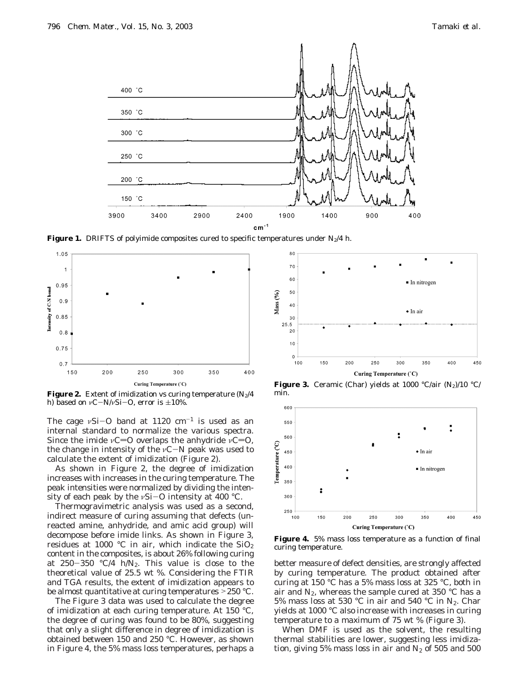

**Figure 1.** DRIFTS of polyimide composites cured to specific temperatures under  $N_2/4$  h.



**Figure 2.** Extent of imidization vs curing temperature  $(N_2/4)$ h) based on  $vC-N/vSi-O$ , error is  $\pm 10\%$ .

The cage  $vSi$ -O band at 1120 cm<sup>-1</sup> is used as an internal standard to normalize the various spectra. Since the imide *ν*C=O overlaps the anhydride *ν*C=O, the change in intensity of the *<sup>ν</sup>*C-N peak was used to calculate the extent of imidization (Figure 2).

As shown in Figure 2, the degree of imidization increases with increases in the curing temperature. The peak intensities were normalized by dividing the intensity of each peak by the *<sup>ν</sup>*Si-O intensity at 400 °C.

Thermogravimetric analysis was used as a second, indirect measure of curing assuming that defects (unreacted amine, anhydride, and amic acid group) will decompose before imide links. As shown in Figure 3, residues at 1000 °C in air, which indicate the  $SiO<sub>2</sub>$ content in the composites, is about 26% following curing at  $250-350$  °C/4 h/N<sub>2</sub>. This value is close to the theoretical value of 25.5 wt %. Considering the FTIR and TGA results, the extent of imidization appears to be almost quantitative at curing temperatures >250 °C.

The Figure 3 data was used to calculate the degree of imidization at each curing temperature. At 150 °C, the degree of curing was found to be 80%, suggesting that only a slight difference in degree of imidization is obtained between 150 and 250 °C. However, as shown in Figure 4, the 5% mass loss temperatures, perhaps a



**Figure 3.** Ceramic (Char) yields at 1000 °C/air  $(N_2)/10$  °C/ min.



**Figure 4.** 5% mass loss temperature as a function of final curing temperature.

better measure of defect densities, are strongly affected by curing temperature. The product obtained after curing at 150 °C has a 5% mass loss at 325 °C, both in air and  $N_2$ , whereas the sample cured at 350 °C has a 5% mass loss at 530 °C in air and 540 °C in  $N_2$ . Char yields at 1000 °C also increase with increases in curing temperature to a maximum of 75 wt % (Figure 3).

When DMF is used as the solvent, the resulting thermal stabilities are lower, suggesting less imidization, giving 5% mass loss in air and  $N_2$  of 505 and 500